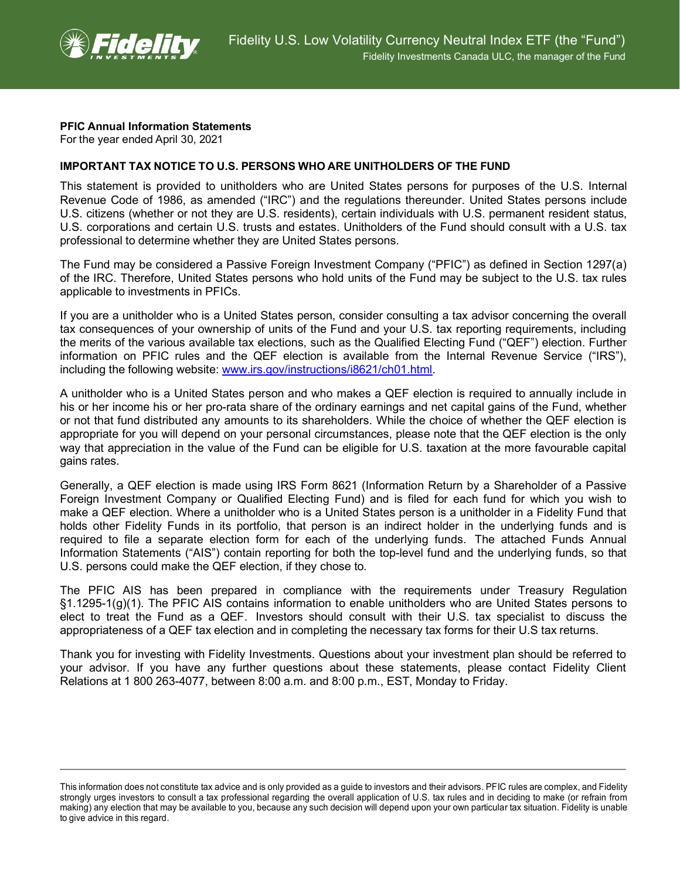

## **PFIC Annual Information Statements**

For the year ended April 30, 2021

## **IMPORTANT TAX NOTICE TO U.S. PERSONS WHO ARE UNITHOLDERS OF THE FUND**

This statement is provided to unitholders who are United States persons for purposes of the U.S. Internal Revenue Code of 1986, as amended ("IRC") and the regulations thereunder. United States persons include U.S. citizens (whether or not they are U.S. residents), certain individuals with U.S. permanent resident status, U.S. corporations and certain U.S. trusts and estates. Unitholders of the Fund should consult with a U.S. tax professional to determine whether they are United States persons.

The Fund may be considered a Passive Foreign Investment Company ("PFIC") as defined in Section 1297(a) of the IRC. Therefore, United States persons who hold units of the Fund may be subject to the U.S. tax rules applicable to investments in PFICs.

If you are a unitholder who is a United States person, consider consulting a tax advisor concerning the overall tax consequences of your ownership of units of the Fund and your U.S. tax reporting requirements, including the merits of the various available tax elections, such as the Qualified Electing Fund ("QEF") election. Further information on PFIC rules and the QEF election is available from the Internal Revenue Service ("IRS"), including the following website: [www.irs.gov/instructions/i8621/ch01.html.](http://www.irs.gov/instructions/i8621/ch01.html)

A unitholder who is a United States person and who makes a QEF election is required to annually include in his or her income his or her pro-rata share of the ordinary earnings and net capital gains of the Fund, whether or not that fund distributed any amounts to its shareholders. While the choice of whether the QEF election is appropriate for you will depend on your personal circumstances, please note that the QEF election is the only way that appreciation in the value of the Fund can be eligible for U.S. taxation at the more favourable capital gains rates.

Generally, a QEF election is made using IRS Form 8621 (Information Return by a Shareholder of a Passive Foreign Investment Company or Qualified Electing Fund) and is filed for each fund for which you wish to make a QEF election. Where a unitholder who is a United States person is a unitholder in a Fidelity Fund that holds other Fidelity Funds in its portfolio, that person is an indirect holder in the underlying funds and is required to file a separate election form for each of the underlying funds. The attached Funds Annual Information Statements ("AIS") contain reporting for both the top-level fund and the underlying funds, so that U.S. persons could make the QEF election, if they chose to.

The PFIC AIS has been prepared in compliance with the requirements under Treasury Regulation §1.1295-1(g)(1). The PFIC AIS contains information to enable unitholders who are United States persons to elect to treat the Fund as a QEF. Investors should consult with their U.S. tax specialist to discuss the appropriateness of a QEF tax election and in completing the necessary tax forms for their U.S tax returns.

Thank you for investing with Fidelity Investments. Questions about your investment plan should be referred to your advisor. If you have any further questions about these statements, please contact Fidelity Client Relations at 1 800 263-4077, between 8:00 a.m. and 8:00 p.m., EST, Monday to Friday.

This information does not constitute tax advice and is only provided as a guide to investors and their advisors. PFIC rules are complex, and Fidelity strongly urges investors to consult a tax professional regarding the overall application of U.S. tax rules and in deciding to make (or refrain from making) any election that may be available to you, because any such decision will depend upon your own particular tax situation. Fidelity is unable to give advice in this regard.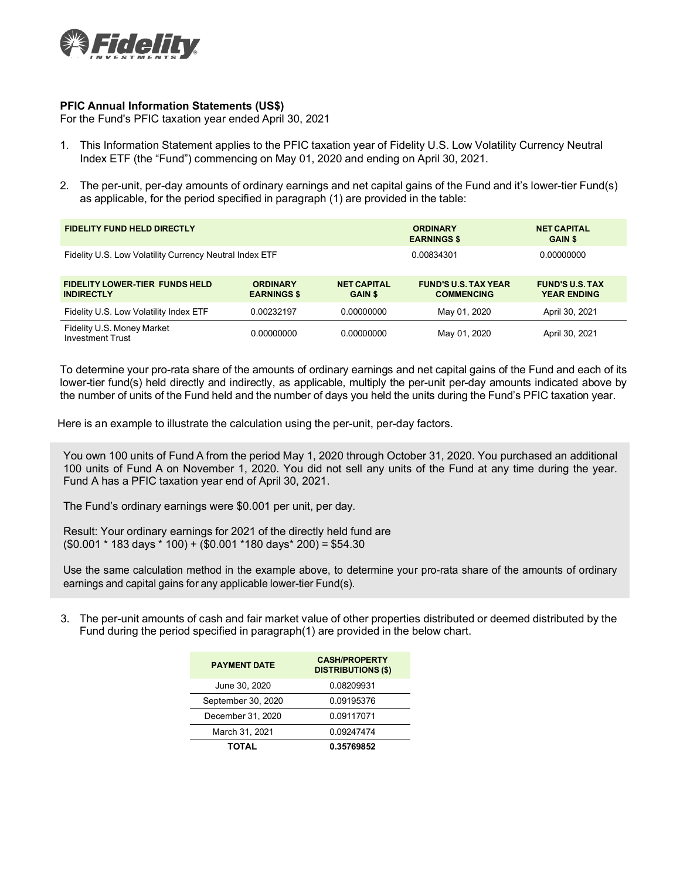

## **PFIC Annual Information Statements (US\$)**

For the Fund's PFIC taxation year ended April 30, 2021

- 1. This Information Statement applies to the PFIC taxation year of Fidelity U.S. Low Volatility Currency Neutral Index ETF (the "Fund") commencing on May 01, 2020 and ending on April 30, 2021.
- 2. The per-unit, per-day amounts of ordinary earnings and net capital gains of the Fund and it's lower-tier Fund(s) as applicable, for the period specified in paragraph (1) are provided in the table:

| <b>FIDELITY FUND HELD DIRECTLY</b>                         |                                       |                                      | <b>ORDINARY</b><br><b>EARNINGS \$</b>            | <b>NET CAPITAL</b><br><b>GAIN \$</b>         |
|------------------------------------------------------------|---------------------------------------|--------------------------------------|--------------------------------------------------|----------------------------------------------|
| Fidelity U.S. Low Volatility Currency Neutral Index ETF    |                                       |                                      | 0.00834301                                       | 0.00000000                                   |
| <b>FIDELITY LOWER-TIER FUNDS HELD</b><br><b>INDIRECTLY</b> | <b>ORDINARY</b><br><b>EARNINGS \$</b> | <b>NET CAPITAL</b><br><b>GAIN \$</b> | <b>FUND'S U.S. TAX YEAR</b><br><b>COMMENCING</b> | <b>FUND'S U.S. TAX</b><br><b>YEAR ENDING</b> |
| Fidelity U.S. Low Volatility Index ETF                     | 0.00232197                            | 0.00000000                           | May 01, 2020                                     | April 30, 2021                               |
| Fidelity U.S. Money Market<br><b>Investment Trust</b>      | 0.00000000                            | 0.00000000                           | May 01, 2020                                     | April 30, 2021                               |

To determine your pro-rata share of the amounts of ordinary earnings and net capital gains of the Fund and each of its lower-tier fund(s) held directly and indirectly, as applicable, multiply the per-unit per-day amounts indicated above by the number of units of the Fund held and the number of days you held the units during the Fund's PFIC taxation year.

Here is an example to illustrate the calculation using the per-unit, per-day factors.

You own 100 units of Fund A from the period May 1, 2020 through October 31, 2020. You purchased an additional 100 units of Fund A on November 1, 2020. You did not sell any units of the Fund at any time during the year. Fund A has a PFIC taxation year end of April 30, 2021.

The Fund's ordinary earnings were \$0.001 per unit, per day.

Result: Your ordinary earnings for 2021 of the directly held fund are (\$0.001 \* 183 days \* 100) + (\$0.001 \*180 days\* 200) = \$54.30

Use the same calculation method in the example above, to determine your pro-rata share of the amounts of ordinary earnings and capital gains for any applicable lower-tier Fund(s).

3. The per-unit amounts of cash and fair market value of other properties distributed or deemed distributed by the Fund during the period specified in paragraph(1) are provided in the below chart.

| <b>PAYMENT DATE</b> | <b>CASH/PROPERTY</b><br><b>DISTRIBUTIONS (\$)</b> |  |
|---------------------|---------------------------------------------------|--|
| June 30, 2020       | 0.08209931                                        |  |
| September 30, 2020  | 0.09195376                                        |  |
| December 31, 2020   | 0.09117071                                        |  |
| March 31, 2021      | 0.09247474                                        |  |
| <b>TOTAL</b>        | 0.35769852                                        |  |